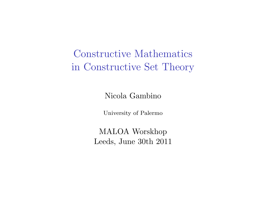Constructive Mathematics in Constructive Set Theory

Nicola Gambino

University of Palermo

MALOA Worskhop Leeds, June 30th 2011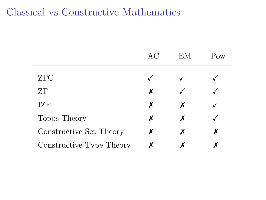# Classical vs Constructive Mathematics

|                          | AС | ЕM | Pow |
|--------------------------|----|----|-----|
| ZFC                      |    |    |     |
| ΖF                       | X  |    |     |
| IZF                      | X  |    |     |
| Topos Theory             | х  | х  |     |
| Constructive Set Theory  | х  | х  |     |
| Constructive Type Theory |    |    |     |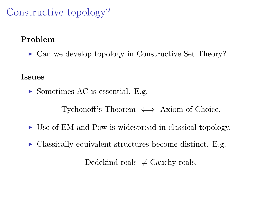# Constructive topology?

### Problem

 $\triangleright$  Can we develop topology in Constructive Set Theory?

#### Issues

 $\triangleright$  Sometimes AC is essential. E.g.

Tychonoff's Theorem  $\iff$  Axiom of Choice.

- I Use of EM and Pow is widespread in classical topology.
- $\triangleright$  Classically equivalent structures become distinct. E.g.

Dedekind reals  $\neq$  Cauchy reals.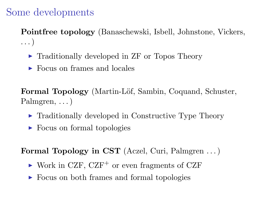## Some developments

Pointfree topology (Banaschewski, Isbell, Johnstone, Vickers, . . . )

- $\blacktriangleright$  Traditionally developed in ZF or Topos Theory
- $\triangleright$  Focus on frames and locales

Formal Topology (Martin-Löf, Sambin, Coquand, Schuster, Palmgren,  $\ldots$ )

- $\triangleright$  Traditionally developed in Constructive Type Theory
- $\triangleright$  Focus on formal topologies

Formal Topology in CST (Aczel, Curi, Palmgren . . . )

- $\triangleright$  Work in CZF, CZF<sup>+</sup> or even fragments of CZF
- ► Focus on both frames and formal topologies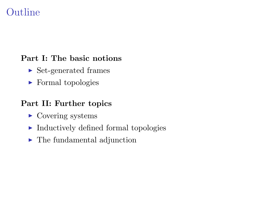# Outline

#### Part I: The basic notions

- $\triangleright$  Set-generated frames
- $\blacktriangleright$  Formal topologies

#### Part II: Further topics

- $\triangleright$  Covering systems
- $\blacktriangleright$  Inductively defined formal topologies
- $\blacktriangleright$  The fundamental adjunction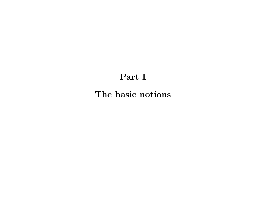### Part I

The basic notions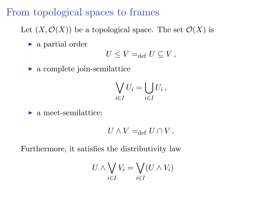## From topological spaces to frames

Let  $(X, \mathcal{O}(X))$  be a topological space. The set  $\mathcal{O}(X)$  is

 $\blacktriangleright$  a partial order

$$
U \leq V =_{\text{def}} U \subseteq V,
$$

 $\blacktriangleright$  a complete join-semilattice

$$
\bigvee_{i\in I} U_i = \bigcup_{i\in I} U_i ,
$$

 $\blacktriangleright$  a meet-semilattice:

$$
U \wedge V =_{\text{def}} U \cap V.
$$

Furthermore, it satisfies the distributivity law

$$
U \wedge \bigvee_{i \in I} V_i = \bigvee_{i \in I} (U \wedge V_i)
$$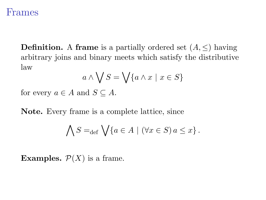### Frames

**Definition.** A frame is a partially ordered set  $(A, \leq)$  having arbitrary joins and binary meets which satisfy the distributive law

$$
a \wedge \bigvee S = \bigvee \{a \wedge x \mid x \in S\}
$$

for every  $a \in A$  and  $S \subseteq A$ .

Note. Every frame is a complete lattice, since

$$
\bigwedge S =_{\text{def}} \bigvee \{a \in A \mid (\forall x \in S) a \leq x\}.
$$

**Examples.**  $\mathcal{P}(X)$  is a frame.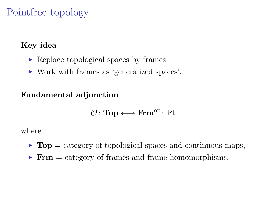# Pointfree topology

### Key idea

- $\triangleright$  Replace topological spaces by frames
- ► Work with frames as 'generalized spaces'.

### Fundamental adjunction

$$
\mathcal{O}\colon\mathbf{Top}\longleftrightarrow\mathbf{Frm}^{\mathrm{op}}\colon\mathrm{Pt}
$$

#### where

- $\triangleright$  Top = category of topological spaces and continuous maps,
- $\triangleright$  Frm = category of frames and frame homomorphisms.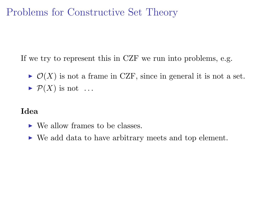# Problems for Constructive Set Theory

If we try to represent this in CZF we run into problems, e.g.

- $\triangleright \mathcal{O}(X)$  is not a frame in CZF, since in general it is not a set.
- $\blacktriangleright$   $\mathcal{P}(X)$  is not ...

#### Idea

- $\triangleright$  We allow frames to be classes.
- $\triangleright$  We add data to have arbitrary meets and top element.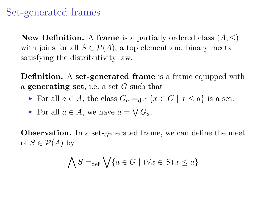### Set-generated frames

New Definition. A frame is a partially ordered class  $(A, \leq)$ with joins for all  $S \in \mathcal{P}(A)$ , a top element and binary meets satisfying the distributivity law.

Definition. A set-generated frame is a frame equipped with a **generating set**, i.e. a set  $G$  such that

For all  $a \in A$ , the class  $G_a =_{def} \{x \in G \mid x \leq a\}$  is a set.

For all  $a \in A$ , we have  $a = \bigvee G_a$ .

Observation. In a set-generated frame, we can define the meet of  $S \in \mathcal{P}(A)$  by

$$
\bigwedge S =_{\text{def}} \bigvee \{a \in G \mid (\forall x \in S) x \le a\}
$$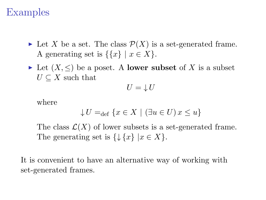## Examples

- In Let X be a set. The class  $\mathcal{P}(X)$  is a set-generated frame. A generating set is  $\{x\}$  |  $x \in X$  }.
- In Let  $(X, \leq)$  be a poset. A **lower subset** of X is a subset  $U \subset X$  such that

$$
U=\downarrow U
$$

where

$$
\downarrow U =_{\text{def}} \{ x \in X \mid (\exists u \in U) x \le u \}
$$

The class  $\mathcal{L}(X)$  of lower subsets is a set-generated frame. The generating set is  $\{\downarrow \{x\} \mid x \in X\}.$ 

It is convenient to have an alternative way of working with set-generated frames.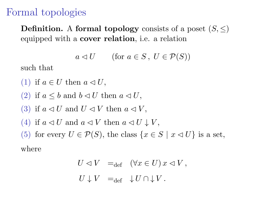## Formal topologies

**Definition.** A formal topology consists of a poset  $(S, \leq)$ equipped with a cover relation, i.e. a relation

$$
a \lhd U \qquad \text{(for } a \in S \,,\ U \in \mathcal{P}(S) \text{)}
$$

such that

(1) if  $a \in U$  then  $a \triangleleft U$ ,

(2) if  $a \leq b$  and  $b \lhd U$  then  $a \lhd U$ ,

(3) if  $a \triangleleft U$  and  $U \triangleleft V$  then  $a \triangleleft V$ .

(4) if  $a \triangleleft U$  and  $a \triangleleft V$  then  $a \triangleleft U \downarrow V$ ,

(5) for every  $U \in \mathcal{P}(S)$ , the class  $\{x \in S \mid x \triangleleft U\}$  is a set,

where

$$
U \lhd V =_{\text{def}} (\forall x \in U) x \lhd V,
$$
  

$$
U \downarrow V =_{\text{def}} \downarrow U \cap \downarrow V.
$$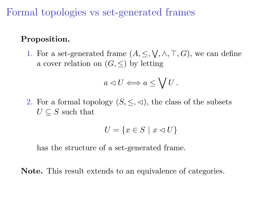Formal topologies vs set-generated frames

#### Proposition.

1. For a set-generated frame  $(A, \leq, \bigvee, \wedge, \top, G)$ , we can define a cover relation on  $(G, \leq)$  by letting

$$
a\lhd U\Longleftrightarrow a\leq\bigvee U\,.
$$

2. For a formal topology  $(S, \leq, \leq)$ , the class of the subsets  $U \subseteq S$  such that

$$
U=\{x\in S\ |\ x\lhd U\}
$$

has the structure of a set-generated frame.

Note. This result extends to an equivalence of categories.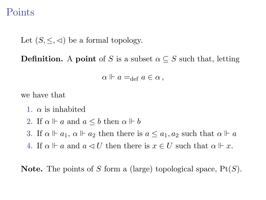### Points

Let  $(S, \leq, \leq)$  be a formal topology.

**Definition.** A point of S is a subset  $\alpha \subseteq S$  such that, letting

$$
\alpha \Vdash a =_{\text{def}} a \in \alpha ,
$$

we have that

- 1.  $\alpha$  is inhabited
- 2. If  $\alpha \Vdash a$  and  $a \leq b$  then  $\alpha \Vdash b$
- 3. If  $\alpha \Vdash a_1$ ,  $\alpha \Vdash a_2$  then there is  $a \leq a_1, a_2$  such that  $\alpha \Vdash a$
- 4. If  $\alpha \Vdash a$  and  $a \lhd U$  then there is  $x \in U$  such that  $\alpha \Vdash x$ .

**Note.** The points of S form a (large) topological space,  $Pt(S)$ .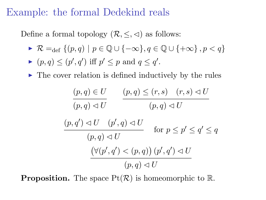## Example: the formal Dedekind reals

Define a formal topology  $(\mathcal{R}, \leq, \leq)$  as follows:

$$
\quad \blacktriangleright \; \mathcal{R} =_{\mathrm{def}} \{ (p,q) \mid p \in \mathbb{Q} \cup \{-\infty\}, q \in \mathbb{Q} \cup \{+\infty\} \,, p < q \}
$$

$$
\blacktriangleright (p,q) \le (p',q') \text{ iff } p' \le p \text{ and } q \le q'.
$$

 $\triangleright$  The cover relation is defined inductively by the rules

$$
(p,q) \in U \qquad (p,q) \leq (r,s) \quad (r,s) \leq U
$$
  

$$
(p,q') \leq U \qquad (p',q) \leq U
$$
  

$$
(p,q') \leq U \qquad (p',q) \leq U
$$
  

$$
(p,q) \leq U \qquad \text{for } p \leq p' \leq q' \leq q
$$
  

$$
(\forall (p',q') < (p,q)) \ (p',q') \leq U
$$
  

$$
(p,q) \leq U
$$

**Proposition.** The space  $Pt(R)$  is homeomorphic to R.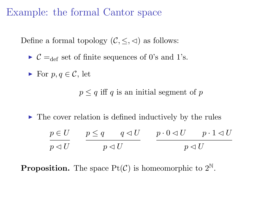Example: the formal Cantor space

Define a formal topology  $(C, \leq, \leq)$  as follows:

 $\triangleright$   $\mathcal{C} =_{def}$  set of finite sequences of 0's and 1's.

• For 
$$
p, q \in \mathcal{C}
$$
, let

 $p \leq q$  iff q is an initial segment of p

 $\triangleright$  The cover relation is defined inductively by the rules

 $p \in U$  $p \lhd U$  $p \leq q \qquad q \lhd U$  $p \lhd U$  $p \cdot 0 \lhd U$   $p \cdot 1 \lhd U$  $p \lhd U$ 

**Proposition.** The space  $Pt(\mathcal{C})$  is homeomorphic to  $2^{\mathbb{N}}$ .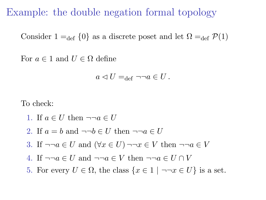Example: the double negation formal topology

Consider  $1 =_{def} \{0\}$  as a discrete poset and let  $\Omega =_{def} \mathcal{P}(1)$ 

For  $a \in 1$  and  $U \in \Omega$  define

$$
a \lhd U =_{\text{def}} \neg \neg a \in U.
$$

To check:

- 1. If  $a \in U$  then  $\neg \neg a \in U$
- 2. If  $a = b$  and  $\neg\neg b \in U$  then  $\neg\neg a \in U$
- 3. If  $\neg\neg a \in U$  and  $(\forall x \in U) \neg\neg x \in V$  then  $\neg\neg a \in V$
- 4. If  $\neg\neg a \in U$  and  $\neg\neg a \in V$  then  $\neg\neg a \in U \cap V$
- 5. For every  $U \in \Omega$ , the class  $\{x \in \Omega \mid \neg \neg x \in U\}$  is a set.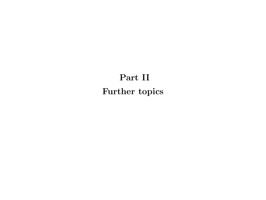# Part II Further topics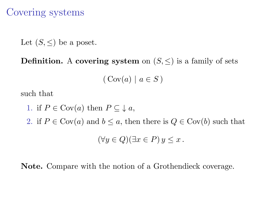Covering systems

Let  $(S, \leq)$  be a poset.

**Definition.** A covering system on  $(S, \leq)$  is a family of sets

$$
(\operatorname{Cov}(a) \mid a \in S)
$$

such that

1. if  $P \in Cov(a)$  then  $P \subseteq \downarrow a$ , 2. if  $P \in \text{Cov}(a)$  and  $b \le a$ , then there is  $Q \in \text{Cov}(b)$  such that  $(\forall y \in Q)(\exists x \in P) y \leq x$ .

Note. Compare with the notion of a Grothendieck coverage.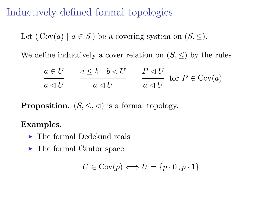# Inductively defined formal topologies

Let  $(Cov(a) | a \in S)$  be a covering system on  $(S, \leq)$ .

We define inductively a cover relation on  $(S, \leq)$  by the rules

$$
\frac{a \in U}{a \triangleleft U} \qquad \frac{a \le b \quad b \triangleleft U}{a \triangleleft U} \qquad \frac{P \triangleleft U}{a \triangleleft U} \quad \text{for } P \in \text{Cov}(a)
$$

**Proposition.**  $(S, \leq, \leq)$  is a formal topology.

Examples.

- $\blacktriangleright$  The formal Dedekind reals
- The formal Cantor space

$$
U \in \text{Cov}(p) \Longleftrightarrow U = \{p \cdot 0 \cdot p \cdot 1\}
$$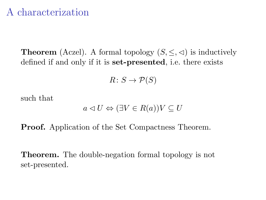## A characterization

**Theorem** (Aczel). A formal topology  $(S, \leq, \leq)$  is inductively defined if and only if it is set-presented, i.e. there exists

$$
R \colon S \to \mathcal{P}(S)
$$

such that

$$
a \lhd U \Leftrightarrow (\exists V \in R(a))V \subseteq U
$$

Proof. Application of the Set Compactness Theorem.

Theorem. The double-negation formal topology is not set-presented.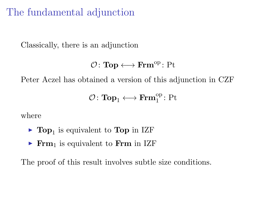# The fundamental adjunction

Classically, there is an adjunction

```
\mathcal{O} \colon \mathbf{Top} \longleftrightarrow \mathbf{Frm}^{\mathrm{op}} \colon \mathrm{Pt}
```
Peter Aczel has obtained a version of this adjunction in CZF

$$
\mathcal{O}\colon\mathbf{Top}_1\longleftrightarrow\mathbf{Frm}_1^{\mathrm{op}}\colon\mathrm{Pt}
$$

where

- $\blacktriangleright$  Top<sub>1</sub> is equivalent to Top in IZF
- Frm<sub>1</sub> is equivalent to Frm in IZF

The proof of this result involves subtle size conditions.